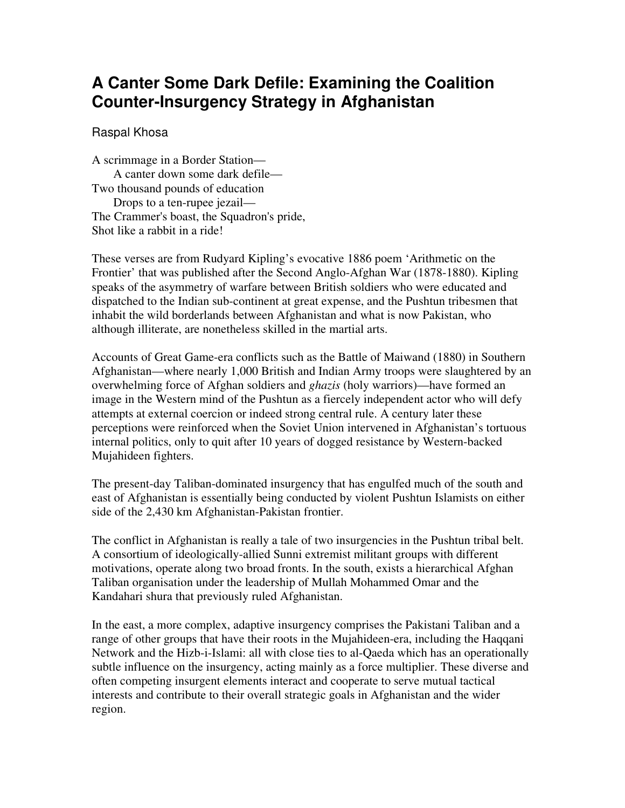# **A Canter Some Dark Defile: Examining the Coalition Counter-Insurgency Strategy in Afghanistan**

Raspal Khosa

A scrimmage in a Border Station— A canter down some dark defile— Two thousand pounds of education Drops to a ten-rupee jezail— The Crammer's boast, the Squadron's pride, Shot like a rabbit in a ride!

These verses are from Rudyard Kipling's evocative 1886 poem 'Arithmetic on the Frontier' that was published after the Second Anglo-Afghan War (1878-1880). Kipling speaks of the asymmetry of warfare between British soldiers who were educated and dispatched to the Indian sub-continent at great expense, and the Pushtun tribesmen that inhabit the wild borderlands between Afghanistan and what is now Pakistan, who although illiterate, are nonetheless skilled in the martial arts.

Accounts of Great Game-era conflicts such as the Battle of Maiwand (1880) in Southern Afghanistan—where nearly 1,000 British and Indian Army troops were slaughtered by an overwhelming force of Afghan soldiers and *ghazis* (holy warriors)—have formed an image in the Western mind of the Pushtun as a fiercely independent actor who will defy attempts at external coercion or indeed strong central rule. A century later these perceptions were reinforced when the Soviet Union intervened in Afghanistan's tortuous internal politics, only to quit after 10 years of dogged resistance by Western-backed Mujahideen fighters.

The present-day Taliban-dominated insurgency that has engulfed much of the south and east of Afghanistan is essentially being conducted by violent Pushtun Islamists on either side of the 2,430 km Afghanistan-Pakistan frontier.

The conflict in Afghanistan is really a tale of two insurgencies in the Pushtun tribal belt. A consortium of ideologically-allied Sunni extremist militant groups with different motivations, operate along two broad fronts. In the south, exists a hierarchical Afghan Taliban organisation under the leadership of Mullah Mohammed Omar and the Kandahari shura that previously ruled Afghanistan.

In the east, a more complex, adaptive insurgency comprises the Pakistani Taliban and a range of other groups that have their roots in the Mujahideen-era, including the Haqqani Network and the Hizb-i-Islami: all with close ties to al-Qaeda which has an operationally subtle influence on the insurgency, acting mainly as a force multiplier. These diverse and often competing insurgent elements interact and cooperate to serve mutual tactical interests and contribute to their overall strategic goals in Afghanistan and the wider region.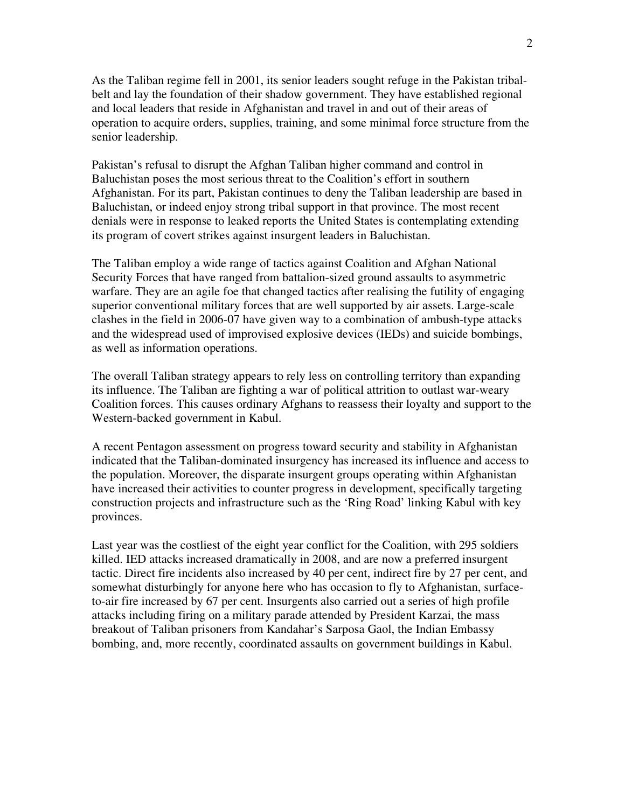As the Taliban regime fell in 2001, its senior leaders sought refuge in the Pakistan tribalbelt and lay the foundation of their shadow government. They have established regional and local leaders that reside in Afghanistan and travel in and out of their areas of operation to acquire orders, supplies, training, and some minimal force structure from the senior leadership.

Pakistan's refusal to disrupt the Afghan Taliban higher command and control in Baluchistan poses the most serious threat to the Coalition's effort in southern Afghanistan. For its part, Pakistan continues to deny the Taliban leadership are based in Baluchistan, or indeed enjoy strong tribal support in that province. The most recent denials were in response to leaked reports the United States is contemplating extending its program of covert strikes against insurgent leaders in Baluchistan.

The Taliban employ a wide range of tactics against Coalition and Afghan National Security Forces that have ranged from battalion-sized ground assaults to asymmetric warfare. They are an agile foe that changed tactics after realising the futility of engaging superior conventional military forces that are well supported by air assets. Large-scale clashes in the field in 2006-07 have given way to a combination of ambush-type attacks and the widespread used of improvised explosive devices (IEDs) and suicide bombings, as well as information operations.

The overall Taliban strategy appears to rely less on controlling territory than expanding its influence. The Taliban are fighting a war of political attrition to outlast war-weary Coalition forces. This causes ordinary Afghans to reassess their loyalty and support to the Western-backed government in Kabul.

A recent Pentagon assessment on progress toward security and stability in Afghanistan indicated that the Taliban-dominated insurgency has increased its influence and access to the population. Moreover, the disparate insurgent groups operating within Afghanistan have increased their activities to counter progress in development, specifically targeting construction projects and infrastructure such as the 'Ring Road' linking Kabul with key provinces.

Last year was the costliest of the eight year conflict for the Coalition, with 295 soldiers killed. IED attacks increased dramatically in 2008, and are now a preferred insurgent tactic. Direct fire incidents also increased by 40 per cent, indirect fire by 27 per cent, and somewhat disturbingly for anyone here who has occasion to fly to Afghanistan, surfaceto-air fire increased by 67 per cent. Insurgents also carried out a series of high profile attacks including firing on a military parade attended by President Karzai, the mass breakout of Taliban prisoners from Kandahar's Sarposa Gaol, the Indian Embassy bombing, and, more recently, coordinated assaults on government buildings in Kabul.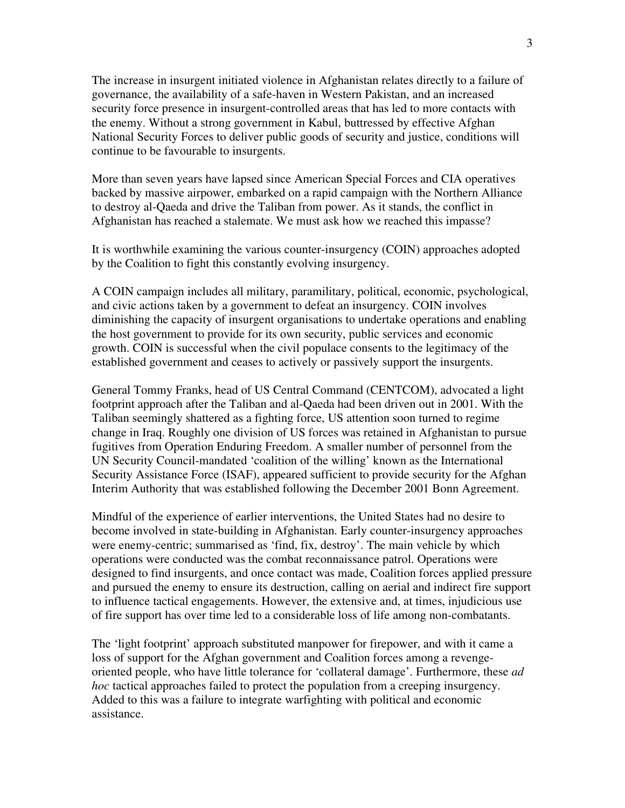The increase in insurgent initiated violence in Afghanistan relates directly to a failure of governance, the availability of a safe-haven in Western Pakistan, and an increased security force presence in insurgent-controlled areas that has led to more contacts with the enemy. Without a strong government in Kabul, buttressed by effective Afghan National Security Forces to deliver public goods of security and justice, conditions will continue to be favourable to insurgents.

More than seven years have lapsed since American Special Forces and CIA operatives backed by massive airpower, embarked on a rapid campaign with the Northern Alliance to destroy al-Qaeda and drive the Taliban from power. As it stands, the conflict in Afghanistan has reached a stalemate. We must ask how we reached this impasse?

It is worthwhile examining the various counter-insurgency (COIN) approaches adopted by the Coalition to fight this constantly evolving insurgency.

A COIN campaign includes all military, paramilitary, political, economic, psychological, and civic actions taken by a government to defeat an insurgency. COIN involves diminishing the capacity of insurgent organisations to undertake operations and enabling the host government to provide for its own security, public services and economic growth. COIN is successful when the civil populace consents to the legitimacy of the established government and ceases to actively or passively support the insurgents.

General Tommy Franks, head of US Central Command (CENTCOM), advocated a light footprint approach after the Taliban and al-Qaeda had been driven out in 2001. With the Taliban seemingly shattered as a fighting force, US attention soon turned to regime change in Iraq. Roughly one division of US forces was retained in Afghanistan to pursue fugitives from Operation Enduring Freedom. A smaller number of personnel from the UN Security Council-mandated 'coalition of the willing' known as the International Security Assistance Force (ISAF), appeared sufficient to provide security for the Afghan Interim Authority that was established following the December 2001 Bonn Agreement.

Mindful of the experience of earlier interventions, the United States had no desire to become involved in state-building in Afghanistan. Early counter-insurgency approaches were enemy-centric; summarised as 'find, fix, destroy'. The main vehicle by which operations were conducted was the combat reconnaissance patrol. Operations were designed to find insurgents, and once contact was made, Coalition forces applied pressure and pursued the enemy to ensure its destruction, calling on aerial and indirect fire support to influence tactical engagements. However, the extensive and, at times, injudicious use of fire support has over time led to a considerable loss of life among non-combatants.

The 'light footprint' approach substituted manpower for firepower, and with it came a loss of support for the Afghan government and Coalition forces among a revengeoriented people, who have little tolerance for 'collateral damage'. Furthermore, these *ad hoc* tactical approaches failed to protect the population from a creeping insurgency. Added to this was a failure to integrate warfighting with political and economic assistance.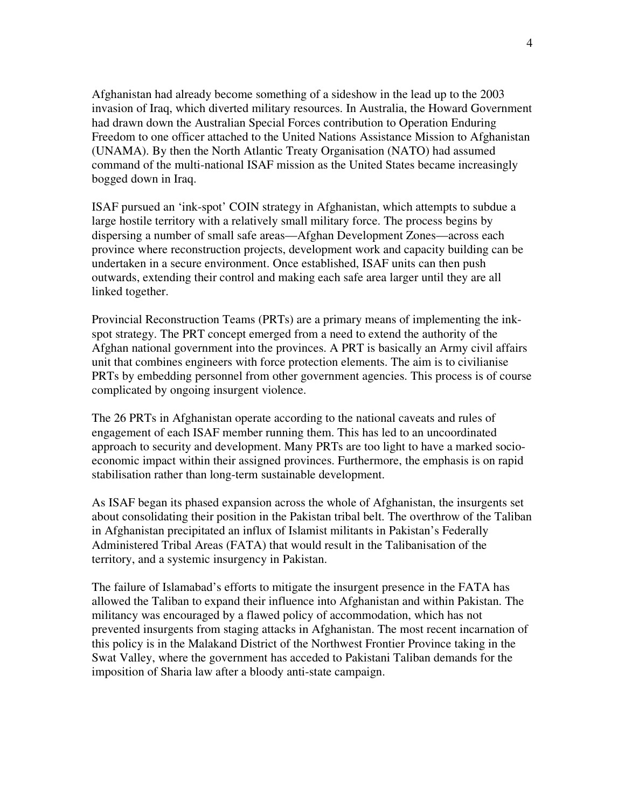Afghanistan had already become something of a sideshow in the lead up to the 2003 invasion of Iraq, which diverted military resources. In Australia, the Howard Government had drawn down the Australian Special Forces contribution to Operation Enduring Freedom to one officer attached to the United Nations Assistance Mission to Afghanistan (UNAMA). By then the North Atlantic Treaty Organisation (NATO) had assumed command of the multi-national ISAF mission as the United States became increasingly bogged down in Iraq.

ISAF pursued an 'ink-spot' COIN strategy in Afghanistan, which attempts to subdue a large hostile territory with a relatively small military force. The process begins by dispersing a number of small safe areas—Afghan Development Zones—across each province where reconstruction projects, development work and capacity building can be undertaken in a secure environment. Once established, ISAF units can then push outwards, extending their control and making each safe area larger until they are all linked together.

Provincial Reconstruction Teams (PRTs) are a primary means of implementing the inkspot strategy. The PRT concept emerged from a need to extend the authority of the Afghan national government into the provinces. A PRT is basically an Army civil affairs unit that combines engineers with force protection elements. The aim is to civilianise PRTs by embedding personnel from other government agencies. This process is of course complicated by ongoing insurgent violence.

The 26 PRTs in Afghanistan operate according to the national caveats and rules of engagement of each ISAF member running them. This has led to an uncoordinated approach to security and development. Many PRTs are too light to have a marked socioeconomic impact within their assigned provinces. Furthermore, the emphasis is on rapid stabilisation rather than long-term sustainable development.

As ISAF began its phased expansion across the whole of Afghanistan, the insurgents set about consolidating their position in the Pakistan tribal belt. The overthrow of the Taliban in Afghanistan precipitated an influx of Islamist militants in Pakistan's Federally Administered Tribal Areas (FATA) that would result in the Talibanisation of the territory, and a systemic insurgency in Pakistan.

The failure of Islamabad's efforts to mitigate the insurgent presence in the FATA has allowed the Taliban to expand their influence into Afghanistan and within Pakistan. The militancy was encouraged by a flawed policy of accommodation, which has not prevented insurgents from staging attacks in Afghanistan. The most recent incarnation of this policy is in the Malakand District of the Northwest Frontier Province taking in the Swat Valley, where the government has acceded to Pakistani Taliban demands for the imposition of Sharia law after a bloody anti-state campaign.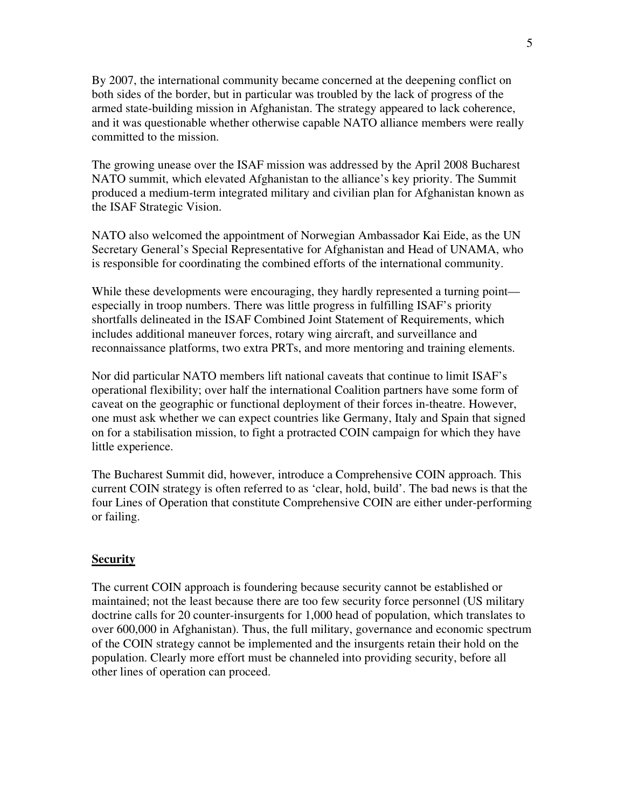By 2007, the international community became concerned at the deepening conflict on both sides of the border, but in particular was troubled by the lack of progress of the armed state-building mission in Afghanistan. The strategy appeared to lack coherence, and it was questionable whether otherwise capable NATO alliance members were really committed to the mission.

The growing unease over the ISAF mission was addressed by the April 2008 Bucharest NATO summit, which elevated Afghanistan to the alliance's key priority. The Summit produced a medium-term integrated military and civilian plan for Afghanistan known as the ISAF Strategic Vision.

NATO also welcomed the appointment of Norwegian Ambassador Kai Eide, as the UN Secretary General's Special Representative for Afghanistan and Head of UNAMA, who is responsible for coordinating the combined efforts of the international community.

While these developments were encouraging, they hardly represented a turning point especially in troop numbers. There was little progress in fulfilling ISAF's priority shortfalls delineated in the ISAF Combined Joint Statement of Requirements, which includes additional maneuver forces, rotary wing aircraft, and surveillance and reconnaissance platforms, two extra PRTs, and more mentoring and training elements.

Nor did particular NATO members lift national caveats that continue to limit ISAF's operational flexibility; over half the international Coalition partners have some form of caveat on the geographic or functional deployment of their forces in-theatre. However, one must ask whether we can expect countries like Germany, Italy and Spain that signed on for a stabilisation mission, to fight a protracted COIN campaign for which they have little experience.

The Bucharest Summit did, however, introduce a Comprehensive COIN approach. This current COIN strategy is often referred to as 'clear, hold, build'. The bad news is that the four Lines of Operation that constitute Comprehensive COIN are either under-performing or failing.

## **Security**

The current COIN approach is foundering because security cannot be established or maintained; not the least because there are too few security force personnel (US military doctrine calls for 20 counter-insurgents for 1,000 head of population, which translates to over 600,000 in Afghanistan). Thus, the full military, governance and economic spectrum of the COIN strategy cannot be implemented and the insurgents retain their hold on the population. Clearly more effort must be channeled into providing security, before all other lines of operation can proceed.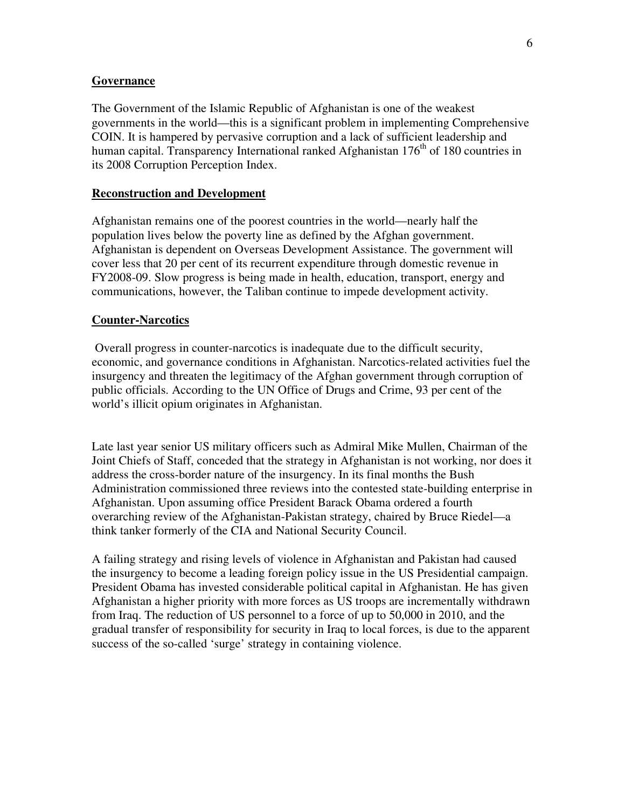#### **Governance**

The Government of the Islamic Republic of Afghanistan is one of the weakest governments in the world—this is a significant problem in implementing Comprehensive COIN. It is hampered by pervasive corruption and a lack of sufficient leadership and human capital. Transparency International ranked Afghanistan  $176<sup>th</sup>$  of 180 countries in its 2008 Corruption Perception Index.

### **Reconstruction and Development**

Afghanistan remains one of the poorest countries in the world—nearly half the population lives below the poverty line as defined by the Afghan government. Afghanistan is dependent on Overseas Development Assistance. The government will cover less that 20 per cent of its recurrent expenditure through domestic revenue in FY2008-09. Slow progress is being made in health, education, transport, energy and communications, however, the Taliban continue to impede development activity.

### **Counter-Narcotics**

 Overall progress in counter-narcotics is inadequate due to the difficult security, economic, and governance conditions in Afghanistan. Narcotics-related activities fuel the insurgency and threaten the legitimacy of the Afghan government through corruption of public officials. According to the UN Office of Drugs and Crime, 93 per cent of the world's illicit opium originates in Afghanistan.

Late last year senior US military officers such as Admiral Mike Mullen, Chairman of the Joint Chiefs of Staff, conceded that the strategy in Afghanistan is not working, nor does it address the cross-border nature of the insurgency. In its final months the Bush Administration commissioned three reviews into the contested state-building enterprise in Afghanistan. Upon assuming office President Barack Obama ordered a fourth overarching review of the Afghanistan-Pakistan strategy, chaired by Bruce Riedel—a think tanker formerly of the CIA and National Security Council.

A failing strategy and rising levels of violence in Afghanistan and Pakistan had caused the insurgency to become a leading foreign policy issue in the US Presidential campaign. President Obama has invested considerable political capital in Afghanistan. He has given Afghanistan a higher priority with more forces as US troops are incrementally withdrawn from Iraq. The reduction of US personnel to a force of up to 50,000 in 2010, and the gradual transfer of responsibility for security in Iraq to local forces, is due to the apparent success of the so-called 'surge' strategy in containing violence.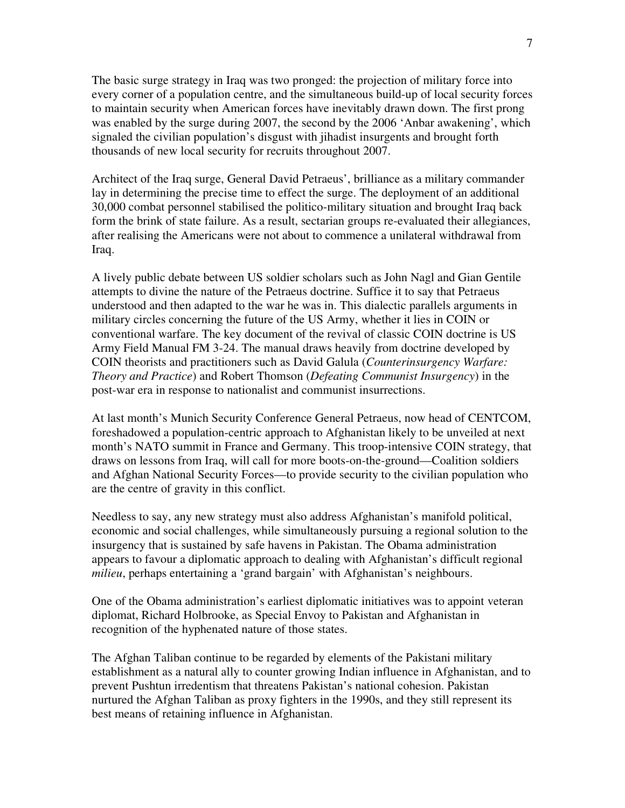The basic surge strategy in Iraq was two pronged: the projection of military force into every corner of a population centre, and the simultaneous build-up of local security forces to maintain security when American forces have inevitably drawn down. The first prong was enabled by the surge during 2007, the second by the 2006 'Anbar awakening', which signaled the civilian population's disgust with jihadist insurgents and brought forth thousands of new local security for recruits throughout 2007.

Architect of the Iraq surge, General David Petraeus', brilliance as a military commander lay in determining the precise time to effect the surge. The deployment of an additional 30,000 combat personnel stabilised the politico-military situation and brought Iraq back form the brink of state failure. As a result, sectarian groups re-evaluated their allegiances, after realising the Americans were not about to commence a unilateral withdrawal from Iraq.

A lively public debate between US soldier scholars such as John Nagl and Gian Gentile attempts to divine the nature of the Petraeus doctrine. Suffice it to say that Petraeus understood and then adapted to the war he was in. This dialectic parallels arguments in military circles concerning the future of the US Army, whether it lies in COIN or conventional warfare. The key document of the revival of classic COIN doctrine is US Army Field Manual FM 3-24. The manual draws heavily from doctrine developed by COIN theorists and practitioners such as David Galula (*Counterinsurgency Warfare: Theory and Practice*) and Robert Thomson (*Defeating Communist Insurgency*) in the post-war era in response to nationalist and communist insurrections.

At last month's Munich Security Conference General Petraeus, now head of CENTCOM, foreshadowed a population-centric approach to Afghanistan likely to be unveiled at next month's NATO summit in France and Germany. This troop-intensive COIN strategy, that draws on lessons from Iraq, will call for more boots-on-the-ground—Coalition soldiers and Afghan National Security Forces—to provide security to the civilian population who are the centre of gravity in this conflict.

Needless to say, any new strategy must also address Afghanistan's manifold political, economic and social challenges, while simultaneously pursuing a regional solution to the insurgency that is sustained by safe havens in Pakistan. The Obama administration appears to favour a diplomatic approach to dealing with Afghanistan's difficult regional *milieu*, perhaps entertaining a 'grand bargain' with Afghanistan's neighbours.

One of the Obama administration's earliest diplomatic initiatives was to appoint veteran diplomat, Richard Holbrooke, as Special Envoy to Pakistan and Afghanistan in recognition of the hyphenated nature of those states.

The Afghan Taliban continue to be regarded by elements of the Pakistani military establishment as a natural ally to counter growing Indian influence in Afghanistan, and to prevent Pushtun irredentism that threatens Pakistan's national cohesion. Pakistan nurtured the Afghan Taliban as proxy fighters in the 1990s, and they still represent its best means of retaining influence in Afghanistan.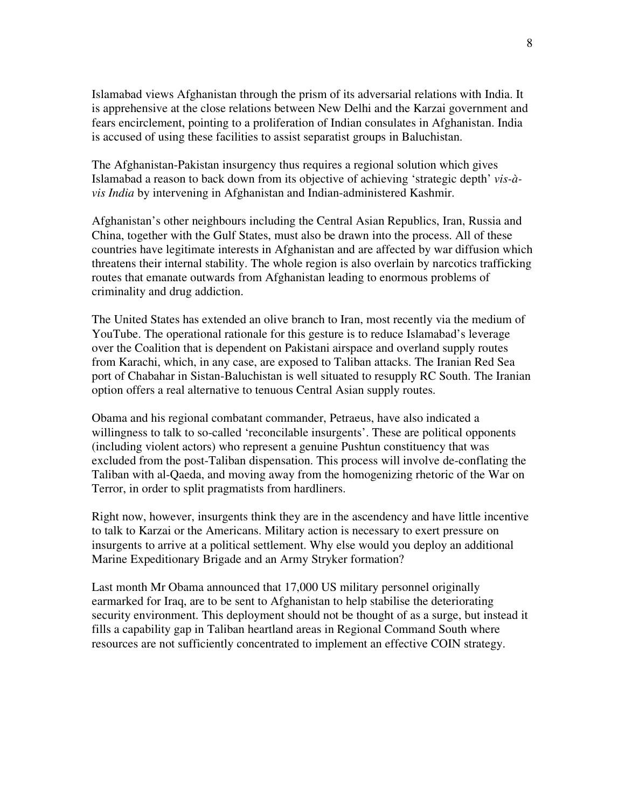Islamabad views Afghanistan through the prism of its adversarial relations with India. It is apprehensive at the close relations between New Delhi and the Karzai government and fears encirclement, pointing to a proliferation of Indian consulates in Afghanistan. India is accused of using these facilities to assist separatist groups in Baluchistan.

The Afghanistan-Pakistan insurgency thus requires a regional solution which gives Islamabad a reason to back down from its objective of achieving 'strategic depth' *vis-àvis India* by intervening in Afghanistan and Indian-administered Kashmir.

Afghanistan's other neighbours including the Central Asian Republics, Iran, Russia and China, together with the Gulf States, must also be drawn into the process. All of these countries have legitimate interests in Afghanistan and are affected by war diffusion which threatens their internal stability. The whole region is also overlain by narcotics trafficking routes that emanate outwards from Afghanistan leading to enormous problems of criminality and drug addiction.

The United States has extended an olive branch to Iran, most recently via the medium of YouTube. The operational rationale for this gesture is to reduce Islamabad's leverage over the Coalition that is dependent on Pakistani airspace and overland supply routes from Karachi, which, in any case, are exposed to Taliban attacks. The Iranian Red Sea port of Chabahar in Sistan-Baluchistan is well situated to resupply RC South. The Iranian option offers a real alternative to tenuous Central Asian supply routes.

Obama and his regional combatant commander, Petraeus, have also indicated a willingness to talk to so-called 'reconcilable insurgents'. These are political opponents (including violent actors) who represent a genuine Pushtun constituency that was excluded from the post-Taliban dispensation. This process will involve de-conflating the Taliban with al-Qaeda, and moving away from the homogenizing rhetoric of the War on Terror, in order to split pragmatists from hardliners.

Right now, however, insurgents think they are in the ascendency and have little incentive to talk to Karzai or the Americans. Military action is necessary to exert pressure on insurgents to arrive at a political settlement. Why else would you deploy an additional Marine Expeditionary Brigade and an Army Stryker formation?

Last month Mr Obama announced that 17,000 US military personnel originally earmarked for Iraq, are to be sent to Afghanistan to help stabilise the deteriorating security environment. This deployment should not be thought of as a surge, but instead it fills a capability gap in Taliban heartland areas in Regional Command South where resources are not sufficiently concentrated to implement an effective COIN strategy.